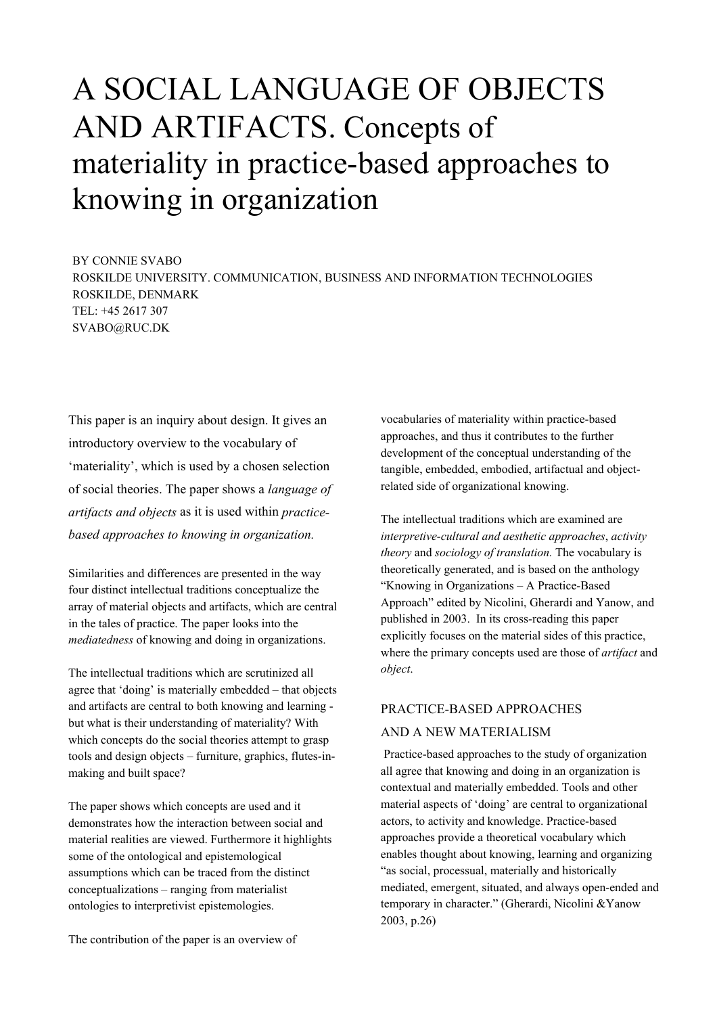# A SOCIAL LANGUAGE OF OBJECTS AND ARTIFACTS. Concepts of materiality in practice-based approaches to knowing in organization

BY CONNIE SVABO ROSKILDE UNIVERSITY. COMMUNICATION, BUSINESS AND INFORMATION TECHNOLOGIES ROSKILDE, DENMARK TEL: +45 2617 307 SVABO@RUC.DK

This paper is an inquiry about design. It gives an introductory overview to the vocabulary of 'materiality', which is used by a chosen selection of social theories. The paper shows a *language of artifacts and objects* as it is used within *practicebased approaches to knowing in organization.* 

Similarities and differences are presented in the way four distinct intellectual traditions conceptualize the array of material objects and artifacts, which are central in the tales of practice. The paper looks into the *mediatedness* of knowing and doing in organizations.

The intellectual traditions which are scrutinized all agree that 'doing' is materially embedded – that objects and artifacts are central to both knowing and learning but what is their understanding of materiality? With which concepts do the social theories attempt to grasp tools and design objects – furniture, graphics, flutes-inmaking and built space?

The paper shows which concepts are used and it demonstrates how the interaction between social and material realities are viewed. Furthermore it highlights some of the ontological and epistemological assumptions which can be traced from the distinct conceptualizations – ranging from materialist ontologies to interpretivist epistemologies.

vocabularies of materiality within practice-based approaches, and thus it contributes to the further development of the conceptual understanding of the tangible, embedded, embodied, artifactual and objectrelated side of organizational knowing.

The intellectual traditions which are examined are *interpretive-cultural and aesthetic approaches*, *activity theory* and *sociology of translation.* The vocabulary is theoretically generated, and is based on the anthology "Knowing in Organizations – A Practice-Based Approach" edited by Nicolini, Gherardi and Yanow, and published in 2003. In its cross-reading this paper explicitly focuses on the material sides of this practice, where the primary concepts used are those of *artifact* and *object*.

# PRACTICE-BASED APPROACHES

# AND A NEW MATERIALISM

 Practice-based approaches to the study of organization all agree that knowing and doing in an organization is contextual and materially embedded. Tools and other material aspects of 'doing' are central to organizational actors, to activity and knowledge. Practice-based approaches provide a theoretical vocabulary which enables thought about knowing, learning and organizing "as social, processual, materially and historically mediated, emergent, situated, and always open-ended and temporary in character." (Gherardi, Nicolini &Yanow 2003, p.26)

The contribution of the paper is an overview of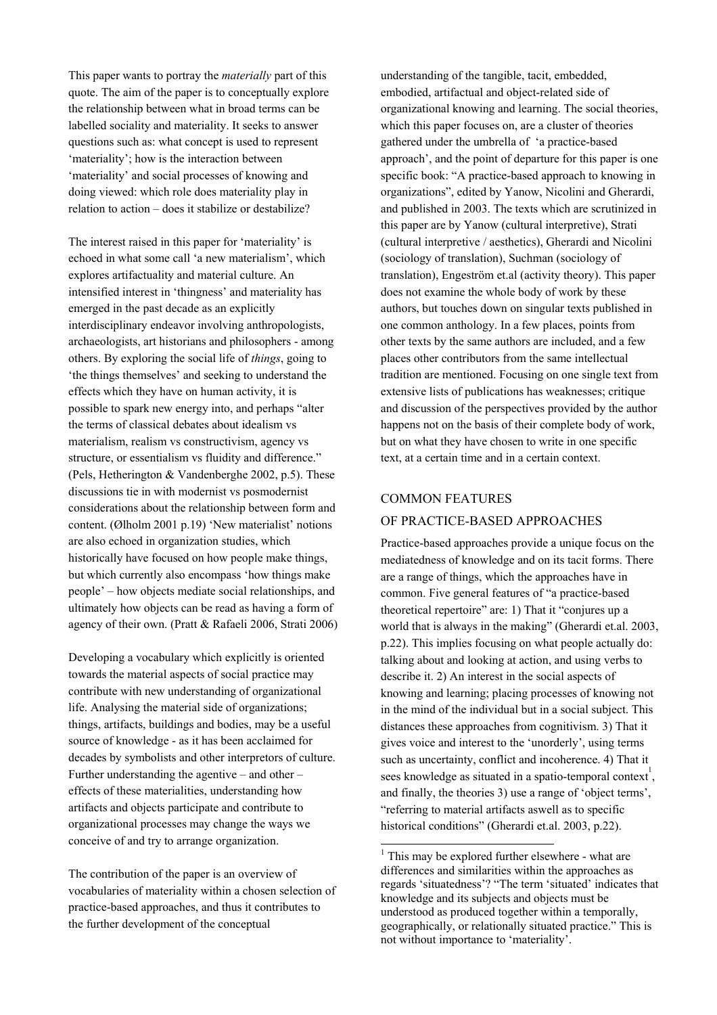This paper wants to portray the *materially* part of this quote. The aim of the paper is to conceptually explore the relationship between what in broad terms can be labelled sociality and materiality. It seeks to answer questions such as: what concept is used to represent 'materiality'; how is the interaction between 'materiality' and social processes of knowing and doing viewed: which role does materiality play in relation to action – does it stabilize or destabilize?

The interest raised in this paper for 'materiality' is echoed in what some call 'a new materialism', which explores artifactuality and material culture. An intensified interest in 'thingness' and materiality has emerged in the past decade as an explicitly interdisciplinary endeavor involving anthropologists, archaeologists, art historians and philosophers - among others. By exploring the social life of *things*, going to 'the things themselves' and seeking to understand the effects which they have on human activity, it is possible to spark new energy into, and perhaps "alter the terms of classical debates about idealism vs materialism, realism vs constructivism, agency vs structure, or essentialism vs fluidity and difference." (Pels, Hetherington & Vandenberghe 2002, p.5). These discussions tie in with modernist vs posmodernist considerations about the relationship between form and content. (Ølholm 2001 p.19) 'New materialist' notions are also echoed in organization studies, which historically have focused on how people make things, but which currently also encompass 'how things make people' – how objects mediate social relationships, and ultimately how objects can be read as having a form of agency of their own. (Pratt & Rafaeli 2006, Strati 2006)

Developing a vocabulary which explicitly is oriented towards the material aspects of social practice may contribute with new understanding of organizational life. Analysing the material side of organizations; things, artifacts, buildings and bodies, may be a useful source of knowledge - as it has been acclaimed for decades by symbolists and other interpretors of culture. Further understanding the agentive – and other – effects of these materialities, understanding how artifacts and objects participate and contribute to organizational processes may change the ways we conceive of and try to arrange organization.

The contribution of the paper is an overview of vocabularies of materiality within a chosen selection of practice-based approaches, and thus it contributes to the further development of the conceptual

understanding of the tangible, tacit, embedded, embodied, artifactual and object-related side of organizational knowing and learning. The social theories, which this paper focuses on, are a cluster of theories gathered under the umbrella of 'a practice-based approach', and the point of departure for this paper is one specific book: "A practice-based approach to knowing in organizations", edited by Yanow, Nicolini and Gherardi, and published in 2003. The texts which are scrutinized in this paper are by Yanow (cultural interpretive), Strati (cultural interpretive / aesthetics), Gherardi and Nicolini (sociology of translation), Suchman (sociology of translation), Engeström et.al (activity theory). This paper does not examine the whole body of work by these authors, but touches down on singular texts published in one common anthology. In a few places, points from other texts by the same authors are included, and a few places other contributors from the same intellectual tradition are mentioned. Focusing on one single text from extensive lists of publications has weaknesses; critique and discussion of the perspectives provided by the author happens not on the basis of their complete body of work, but on what they have chosen to write in one specific text, at a certain time and in a certain context.

# COMMON FEATURES

l

# OF PRACTICE-BASED APPROACHES

Practice-based approaches provide a unique focus on the mediatedness of knowledge and on its tacit forms. There are a range of things, which the approaches have in common. Five general features of "a practice-based theoretical repertoire" are: 1) That it "conjures up a world that is always in the making" (Gherardi et.al. 2003, p.22). This implies focusing on what people actually do: talking about and looking at action, and using verbs to describe it. 2) An interest in the social aspects of knowing and learning; placing processes of knowing not in the mind of the individual but in a social subject. This distances these approaches from cognitivism. 3) That it gives voice and interest to the 'unorderly', using terms such as uncertainty, conflict and incoherence. 4) That it sees knowledge as situated in a spatio-temporal [c](#page-1-0)ontext<sup>1</sup>, and finally, the theories 3) use a range of 'object terms', "referring to material artifacts aswell as to specific historical conditions" (Gherardi et.al. 2003, p.22).

<span id="page-1-0"></span><sup>&</sup>lt;sup>1</sup> This may be explored further elsewhere - what are differences and similarities within the approaches as regards 'situatedness'? "The term 'situated' indicates that knowledge and its subjects and objects must be understood as produced together within a temporally, geographically, or relationally situated practice." This is not without importance to 'materiality'.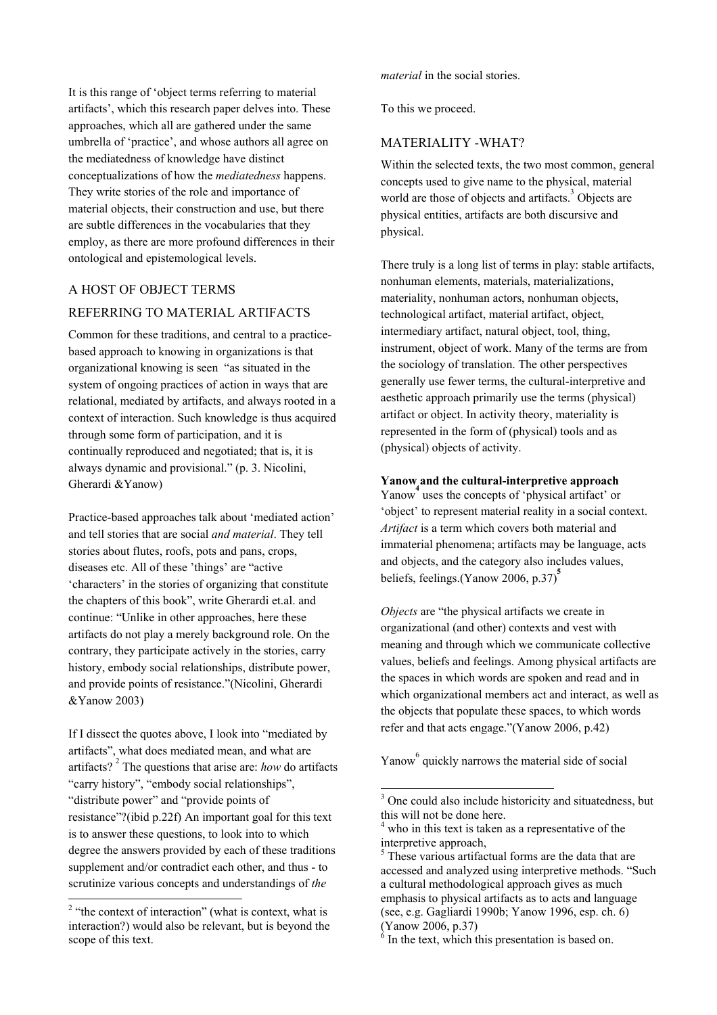It is this range of 'object terms referring to material artifacts', which this research paper delves into. These approaches, which all are gathered under the same umbrella of 'practice', and whose authors all agree on the mediatedness of knowledge have distinct conceptualizations of how the *mediatedness* happens. They write stories of the role and importance of material objects, their construction and use, but there are subtle differences in the vocabularies that they employ, as there are more profound differences in their ontological and epistemological levels.

# A HOST OF OBJECT TERMS

# REFERRING TO MATERIAL ARTIFACTS

Common for these traditions, and central to a practicebased approach to knowing in organizations is that organizational knowing is seen "as situated in the system of ongoing practices of action in ways that are relational, mediated by artifacts, and always rooted in a context of interaction. Such knowledge is thus acquired through some form of participation, and it is continually reproduced and negotiated; that is, it is always dynamic and provisional." (p. 3. Nicolini, Gherardi &Yanow)

Practice-based approaches talk about 'mediated action' and tell stories that are social *and material*. They tell stories about flutes, roofs, pots and pans, crops, diseases etc. All of these 'things' are "active 'characters' in the stories of organizing that constitute the chapters of this book", write Gherardi et.al. and continue: "Unlike in other approaches, here these artifacts do not play a merely background role. On the contrary, they participate actively in the stories, carry history, embody social relationships, distribute power, and provide points of resistance."(Nicolini, Gherardi &Yanow 2003)

If I dissect the quotes above, I look into "mediated by artifacts", what does mediated mean, and what are artifacts?<sup>2</sup> The questions that arise are: *how* do artifacts "carry history", "embody social relationships", "distribute power" and "provide points of resistance"?(ibid p.22f) An important goal for this text is to answer these questions, to look into to which degree the answers provided by each of these traditions supplement and/or contradict each other, and thus - to scrutinize various concepts and understandings of *the* 

*material* in the social stories.

To this we proceed.

# MATERIALITY -WHAT?

Within the selected texts, the two most common, general concepts used to give name to the physical, material world are those of objects and artifacts.<sup>3</sup> Objects are physical entities, artifacts are both discursive and physical.

There truly is a long list of terms in play: stable artifacts, nonhuman elements, materials, materializations, materiality, nonhuman actors, nonhuman objects, technological artifact, material artifact, object, intermediary artifact, natural object, tool, thing, instrument, object of work. Many of the terms are from the sociology of translation. The other perspectives generally use fewer terms, the cultural-interpretive and aesthetic approach primarily use the terms (physical) artifact or object. In activity theory, materiality is represented in the form of (physical) tools and as (physical) objects of activity.

# **Yanow and the cultural-interpretive approach**

Yanow<sup>4</sup> [u](#page-2-2)ses the concepts of 'physical artifact' or 'object' to represent material reality in a social context. *Artifact* is a term which covers both material and immaterial phenomena; artifacts may be language, acts and objects, and the category also includes values, beliefs, feelings.(Yanow 2006, p.37)<sup>[5](#page-2-3)</sup>

*Objects* are "the physical artifacts we create in organizational (and other) contexts and vest with meaning and through which we communicate collective values, beliefs and feelings. Among physical artifacts are the spaces in which words are spoken and read and in which organizational members act and interact, as well as the objects that populate these spaces, to which words refer and that acts engage."(Yanow 2006, p.42)

Yanow <sup>[6](#page-2-4)</sup> quickly narrows the material side of social

l

<span id="page-2-0"></span><sup>&</sup>lt;sup>2</sup> "the context of interaction" (what is context, what is interaction?) would also be relevant, but is beyond the scope of this text.

<span id="page-2-1"></span><sup>&</sup>lt;sup>3</sup> One could also include historicity and situatedness, but this will not be done here.

<span id="page-2-2"></span><sup>&</sup>lt;sup>4</sup> who in this text is taken as a representative of the interpretive approach,

<span id="page-2-3"></span><sup>&</sup>lt;sup>5</sup> These various artifactual forms are the data that are accessed and analyzed using interpretive methods. "Such a cultural methodological approach gives as much emphasis to physical artifacts as to acts and language (see, e.g. Gagliardi 1990b; Yanow 1996, esp. ch. 6)

<span id="page-2-4"></span><sup>(</sup>Yanow 2006, p.37)<br> $<sup>6</sup>$  In the text, which this presentation is based on.</sup>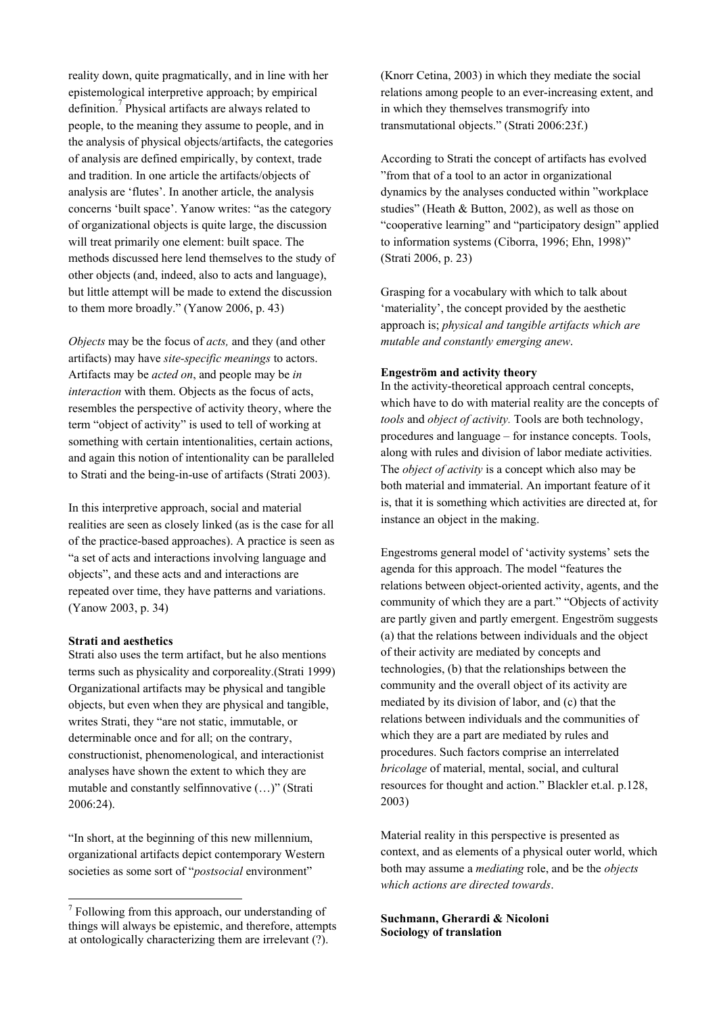reality down, quite pragmatically, and in line with her epistemological interpretive approach; by empirical definition.<sup>7</sup> Physical artifacts are always related to people, to the meaning they assume to people, and in the analysis of physical objects/artifacts, the categories of analysis are defined empirically, by context, trade and tradition. In one article the artifacts/objects of analysis are 'flutes'. In another article, the analysis concerns 'built space'. Yanow writes: "as the category of organizational objects is quite large, the discussion will treat primarily one element: built space. The methods discussed here lend themselves to the study of other objects (and, indeed, also to acts and language), but little attempt will be made to extend the discussion to them more broadly." (Yanow 2006, p. 43)

*Objects* may be the focus of *acts,* and they (and other artifacts) may have *site-specific meanings* to actors. Artifacts may be *acted on*, and people may be *in interaction* with them. Objects as the focus of acts, resembles the perspective of activity theory, where the term "object of activity" is used to tell of working at something with certain intentionalities, certain actions, and again this notion of intentionality can be paralleled to Strati and the being-in-use of artifacts (Strati 2003).

In this interpretive approach, social and material realities are seen as closely linked (as is the case for all of the practice-based approaches). A practice is seen as "a set of acts and interactions involving language and objects", and these acts and and interactions are repeated over time, they have patterns and variations. (Yanow 2003, p. 34)

#### **Strati and aesthetics**

Strati also uses the term artifact, but he also mentions terms such as physicality and corporeality.(Strati 1999) Organizational artifacts may be physical and tangible objects, but even when they are physical and tangible, writes Strati, they "are not static, immutable, or determinable once and for all; on the contrary, constructionist, phenomenological, and interactionist analyses have shown the extent to which they are mutable and constantly selfinnovative (…)" (Strati 2006:24).

"In short, at the beginning of this new millennium, organizational artifacts depict contemporary Western societies as some sort of "*postsocial* environment"

(Knorr Cetina, 2003) in which they mediate the social relations among people to an ever-increasing extent, and in which they themselves transmogrify into transmutational objects." (Strati 2006:23f.)

According to Strati the concept of artifacts has evolved "from that of a tool to an actor in organizational dynamics by the analyses conducted within "workplace studies" (Heath & Button, 2002), as well as those on "cooperative learning" and "participatory design" applied to information systems (Ciborra, 1996; Ehn, 1998)" (Strati 2006, p. 23)

Grasping for a vocabulary with which to talk about 'materiality', the concept provided by the aesthetic approach is; *physical and tangible artifacts which are mutable and constantly emerging anew*.

#### **Engeström and activity theory**

In the activity-theoretical approach central concepts, which have to do with material reality are the concepts of *tools* and *object of activity.* Tools are both technology, procedures and language – for instance concepts. Tools, along with rules and division of labor mediate activities. The *object of activity* is a concept which also may be both material and immaterial. An important feature of it is, that it is something which activities are directed at, for instance an object in the making.

Engestroms general model of 'activity systems' sets the agenda for this approach. The model "features the relations between object-oriented activity, agents, and the community of which they are a part." "Objects of activity are partly given and partly emergent. Engeström suggests (a) that the relations between individuals and the object of their activity are mediated by concepts and technologies, (b) that the relationships between the community and the overall object of its activity are mediated by its division of labor, and (c) that the relations between individuals and the communities of which they are a part are mediated by rules and procedures. Such factors comprise an interrelated *bricolage* of material, mental, social, and cultural resources for thought and action." Blackler et.al. p.128, 2003)

Material reality in this perspective is presented as context, and as elements of a physical outer world, which both may assume a *mediating* role, and be the *objects which actions are directed towards*.

# **Suchmann, Gherardi & Nicoloni Sociology of translation**

<span id="page-3-0"></span> 7 Following from this approach, our understanding of things will always be epistemic, and therefore, attempts at ontologically characterizing them are irrelevant (?).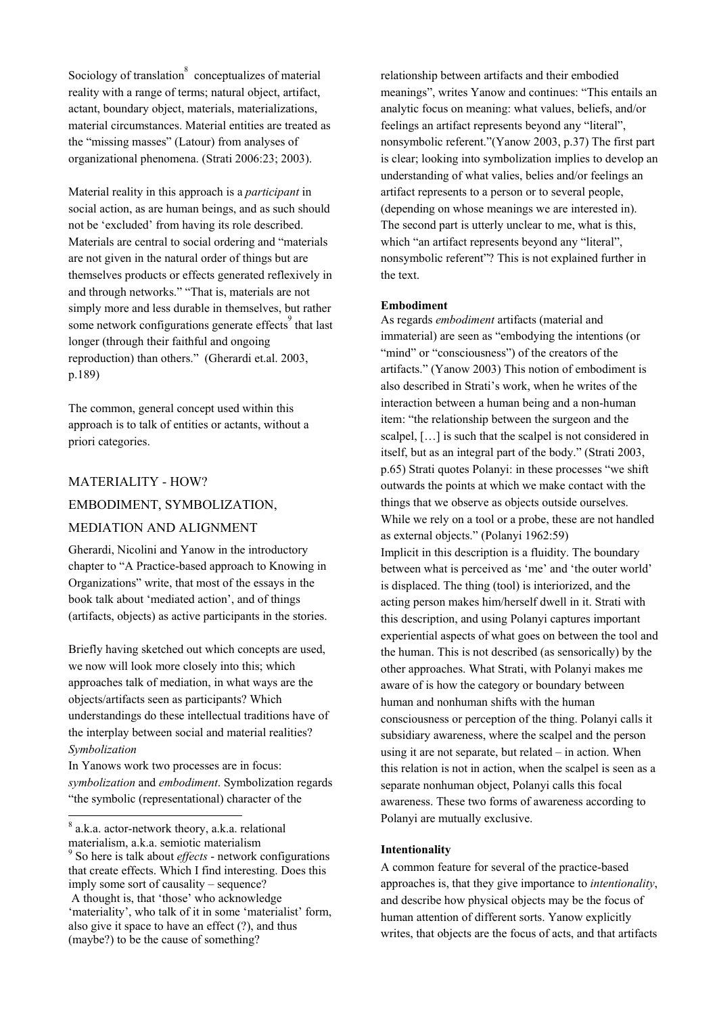Sociology of translation $\degree$  conceptualizes of material reality with a range of terms; natural object, artifact, actant, boundary object, materials, materializations, material circumstances. Material entities are treated as the "missing masses" (Latour) from analyses of organizational phenomena. (Strati 2006:23; 2003).

Material reality in this approach is a *participant* in social action, as are human beings, and as such should not be 'excluded' from having its role described. Materials are central to social ordering and "materials are not given in the natural order of things but are themselves products or effects generated reflexively in and through networks." "That is, materials are not simply more and less durable in themselves, but rather some network configurations generate effects<sup>[9](#page-4-1)</sup> that last longer (through their faithful and ongoing reproduction) than others." (Gherardi et.al. 2003, p.189)

The common, general concept used within this approach is to talk of entities or actants, without a priori categories.

# MATERIALITY - HOW? EMBODIMENT, SYMBOLIZATION,

# MEDIATION AND ALIGNMENT

Gherardi, Nicolini and Yanow in the introductory chapter to "A Practice-based approach to Knowing in Organizations" write, that most of the essays in the book talk about 'mediated action', and of things (artifacts, objects) as active participants in the stories.

Briefly having sketched out which concepts are used, we now will look more closely into this; which approaches talk of mediation, in what ways are the objects/artifacts seen as participants? Which understandings do these intellectual traditions have of the interplay between social and material realities? *Symbolization* 

In Yanows work two processes are in focus: *symbolization* and *embodiment*. Symbolization regards "the symbolic (representational) character of the

l

relationship between artifacts and their embodied meanings", writes Yanow and continues: "This entails an analytic focus on meaning: what values, beliefs, and/or feelings an artifact represents beyond any "literal", nonsymbolic referent."(Yanow 2003, p.37) The first part is clear; looking into symbolization implies to develop an understanding of what valies, belies and/or feelings an artifact represents to a person or to several people, (depending on whose meanings we are interested in). The second part is utterly unclear to me, what is this, which "an artifact represents beyond any "literal", nonsymbolic referent"? This is not explained further in the text.

# **Embodiment**

As regards *embodiment* artifacts (material and immaterial) are seen as "embodying the intentions (or "mind" or "consciousness") of the creators of the artifacts." (Yanow 2003) This notion of embodiment is also described in Strati's work, when he writes of the interaction between a human being and a non-human item: "the relationship between the surgeon and the scalpel, […] is such that the scalpel is not considered in itself, but as an integral part of the body." (Strati 2003, p.65) Strati quotes Polanyi: in these processes "we shift outwards the points at which we make contact with the things that we observe as objects outside ourselves. While we rely on a tool or a probe, these are not handled as external objects." (Polanyi 1962:59) Implicit in this description is a fluidity. The boundary between what is perceived as 'me' and 'the outer world' is displaced. The thing (tool) is interiorized, and the acting person makes him/herself dwell in it. Strati with this description, and using Polanyi captures important experiential aspects of what goes on between the tool and the human. This is not described (as sensorically) by the other approaches. What Strati, with Polanyi makes me aware of is how the category or boundary between human and nonhuman shifts with the human consciousness or perception of the thing. Polanyi calls it subsidiary awareness, where the scalpel and the person using it are not separate, but related – in action. When this relation is not in action, when the scalpel is seen as a separate nonhuman object, Polanyi calls this focal awareness. These two forms of awareness according to Polanyi are mutually exclusive.

# **Intentionality**

A common feature for several of the practice-based approaches is, that they give importance to *intentionality*, and describe how physical objects may be the focus of human attention of different sorts. Yanow explicitly writes, that objects are the focus of acts, and that artifacts

<span id="page-4-0"></span><sup>8</sup> a.k.a. actor-network theory, a.k.a. relational materialism, a.k.a. semiotic materialism

<span id="page-4-1"></span><sup>9</sup> So here is talk about *effects* - network configurations that create effects. Which I find interesting. Does this imply some sort of causality – sequence?

A thought is, that 'those' who acknowledge 'materiality', who talk of it in some 'materialist' form, also give it space to have an effect (?), and thus (maybe?) to be the cause of something?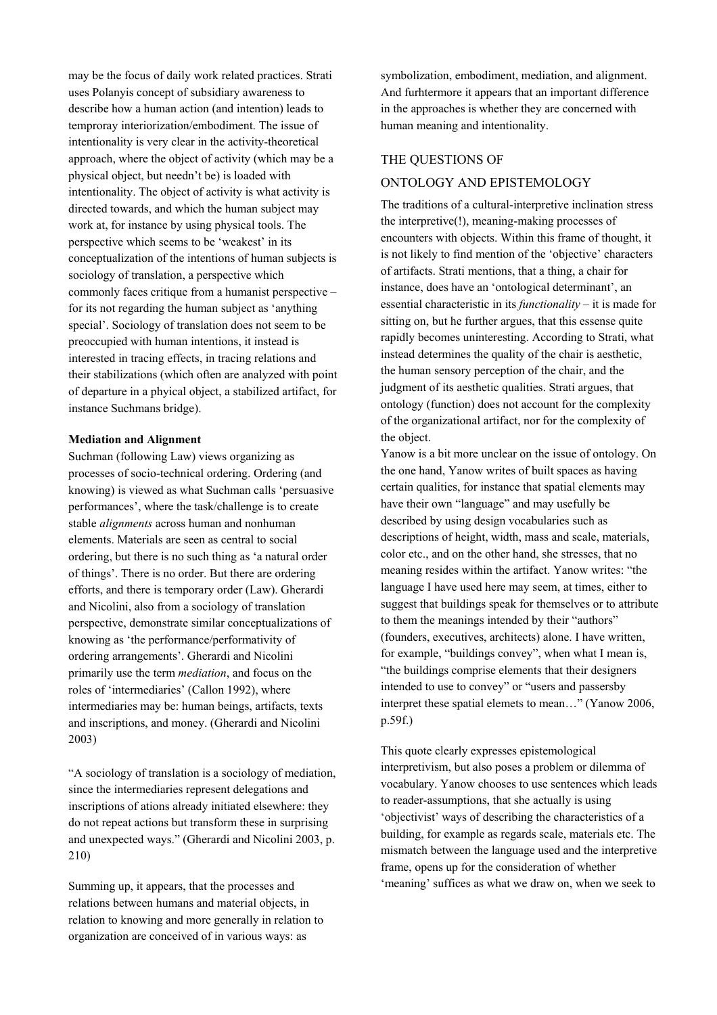may be the focus of daily work related practices. Strati uses Polanyis concept of subsidiary awareness to describe how a human action (and intention) leads to temproray interiorization/embodiment. The issue of intentionality is very clear in the activity-theoretical approach, where the object of activity (which may be a physical object, but needn't be) is loaded with intentionality. The object of activity is what activity is directed towards, and which the human subject may work at, for instance by using physical tools. The perspective which seems to be 'weakest' in its conceptualization of the intentions of human subjects is sociology of translation, a perspective which commonly faces critique from a humanist perspective – for its not regarding the human subject as 'anything special'. Sociology of translation does not seem to be preoccupied with human intentions, it instead is interested in tracing effects, in tracing relations and their stabilizations (which often are analyzed with point of departure in a phyical object, a stabilized artifact, for instance Suchmans bridge).

## **Mediation and Alignment**

Suchman (following Law) views organizing as processes of socio-technical ordering. Ordering (and knowing) is viewed as what Suchman calls 'persuasive performances', where the task/challenge is to create stable *alignments* across human and nonhuman elements. Materials are seen as central to social ordering, but there is no such thing as 'a natural order of things'. There is no order. But there are ordering efforts, and there is temporary order (Law). Gherardi and Nicolini, also from a sociology of translation perspective, demonstrate similar conceptualizations of knowing as 'the performance/performativity of ordering arrangements'. Gherardi and Nicolini primarily use the term *mediation*, and focus on the roles of 'intermediaries' (Callon 1992), where intermediaries may be: human beings, artifacts, texts and inscriptions, and money. (Gherardi and Nicolini 2003)

"A sociology of translation is a sociology of mediation, since the intermediaries represent delegations and inscriptions of ations already initiated elsewhere: they do not repeat actions but transform these in surprising and unexpected ways." (Gherardi and Nicolini 2003, p. 210)

Summing up, it appears, that the processes and relations between humans and material objects, in relation to knowing and more generally in relation to organization are conceived of in various ways: as

symbolization, embodiment, mediation, and alignment. And furhtermore it appears that an important difference in the approaches is whether they are concerned with human meaning and intentionality.

# THE QUESTIONS OF

# ONTOLOGY AND EPISTEMOLOGY

The traditions of a cultural-interpretive inclination stress the interpretive(!), meaning-making processes of encounters with objects. Within this frame of thought, it is not likely to find mention of the 'objective' characters of artifacts. Strati mentions, that a thing, a chair for instance, does have an 'ontological determinant', an essential characteristic in its *functionality* – it is made for sitting on, but he further argues, that this essense quite rapidly becomes uninteresting. According to Strati, what instead determines the quality of the chair is aesthetic, the human sensory perception of the chair, and the judgment of its aesthetic qualities. Strati argues, that ontology (function) does not account for the complexity of the organizational artifact, nor for the complexity of the object.

Yanow is a bit more unclear on the issue of ontology. On the one hand, Yanow writes of built spaces as having certain qualities, for instance that spatial elements may have their own "language" and may usefully be described by using design vocabularies such as descriptions of height, width, mass and scale, materials, color etc., and on the other hand, she stresses, that no meaning resides within the artifact. Yanow writes: "the language I have used here may seem, at times, either to suggest that buildings speak for themselves or to attribute to them the meanings intended by their "authors" (founders, executives, architects) alone. I have written, for example, "buildings convey", when what I mean is, "the buildings comprise elements that their designers intended to use to convey" or "users and passersby interpret these spatial elemets to mean…" (Yanow 2006, p.59f.)

This quote clearly expresses epistemological interpretivism, but also poses a problem or dilemma of vocabulary. Yanow chooses to use sentences which leads to reader-assumptions, that she actually is using 'objectivist' ways of describing the characteristics of a building, for example as regards scale, materials etc. The mismatch between the language used and the interpretive frame, opens up for the consideration of whether 'meaning' suffices as what we draw on, when we seek to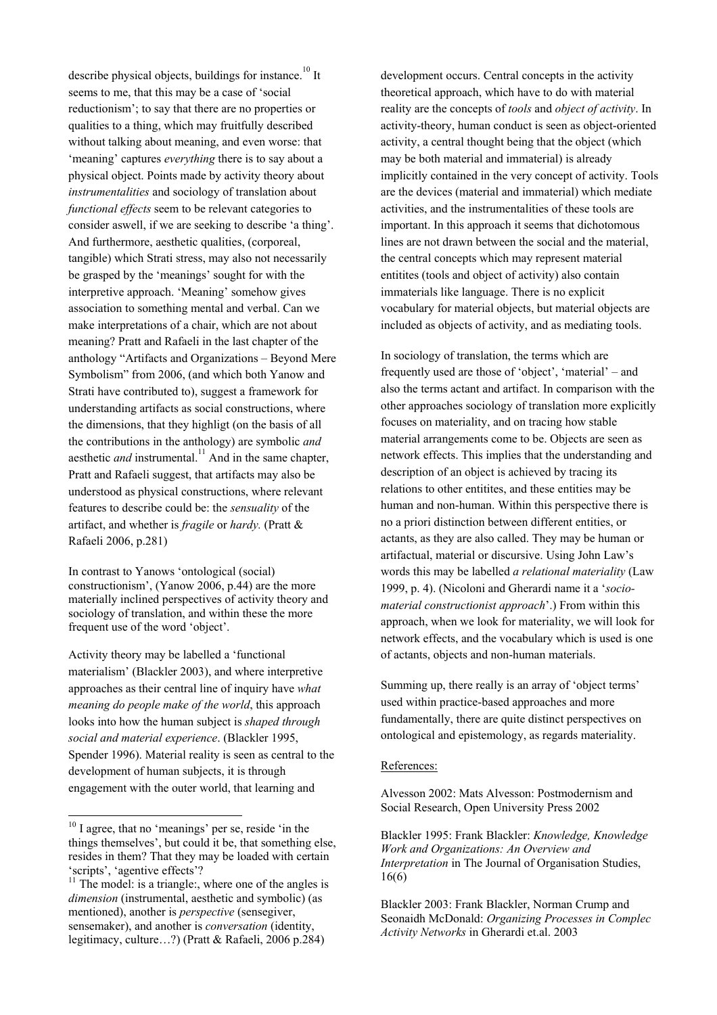describe physical objects, buildings for instance.<sup>10</sup> It seems to me, that this may be a case of 'social reductionism'; to say that there are no properties or qualities to a thing, which may fruitfully described without talking about meaning, and even worse: that 'meaning' captures *everything* there is to say about a physical object. Points made by activity theory about *instrumentalities* and sociology of translation about *functional effects* seem to be relevant categories to consider aswell, if we are seeking to describe 'a thing'. And furthermore, aesthetic qualities, (corporeal, tangible) which Strati stress, may also not necessarily be grasped by the 'meanings' sought for with the interpretive approach. 'Meaning' somehow gives association to something mental and verbal. Can we make interpretations of a chair, which are not about meaning? Pratt and Rafaeli in the last chapter of the anthology "Artifacts and Organizations – Beyond Mere Symbolism" from 2006, (and which both Yanow and Strati have contributed to), suggest a framework for understanding artifacts as social constructions, where the dimensions, that they highligt (on the basis of all the contributions in the anthology) are symbolic *and*  aesthetic *and* instrumental.<sup>11</sup> And in the same chapter, Pratt and Rafaeli suggest, that artifacts may also be understood as physical constructions, where relevant features to describe could be: the *sensuality* of the artifact, and whether is *fragile* or *hardy.* (Pratt & Rafaeli 2006, p.281)

In contrast to Yanows 'ontological (social) constructionism', (Yanow 2006, p.44) are the more materially inclined perspectives of activity theory and sociology of translation, and within these the more frequent use of the word 'object'.

Activity theory may be labelled a 'functional materialism' (Blackler 2003), and where interpretive approaches as their central line of inquiry have *what meaning do people make of the world*, this approach looks into how the human subject is *shaped through social and material experience*. (Blackler 1995, Spender 1996). Material reality is seen as central to the development of human subjects, it is through engagement with the outer world, that learning and

l

development occurs. Central concepts in the activity theoretical approach, which have to do with material reality are the concepts of *tools* and *object of activity*. In activity-theory, human conduct is seen as object-oriented activity, a central thought being that the object (which may be both material and immaterial) is already implicitly contained in the very concept of activity. Tools are the devices (material and immaterial) which mediate activities, and the instrumentalities of these tools are important. In this approach it seems that dichotomous lines are not drawn between the social and the material, the central concepts which may represent material entitites (tools and object of activity) also contain immaterials like language. There is no explicit vocabulary for material objects, but material objects are included as objects of activity, and as mediating tools.

In sociology of translation, the terms which are frequently used are those of 'object', 'material' – and also the terms actant and artifact. In comparison with the other approaches sociology of translation more explicitly focuses on materiality, and on tracing how stable material arrangements come to be. Objects are seen as network effects. This implies that the understanding and description of an object is achieved by tracing its relations to other entitites, and these entities may be human and non-human. Within this perspective there is no a priori distinction between different entities, or actants, as they are also called. They may be human or artifactual, material or discursive. Using John Law's words this may be labelled *a relational materiality* (Law 1999, p. 4). (Nicoloni and Gherardi name it a '*sociomaterial constructionist approach*'.) From within this approach, when we look for materiality, we will look for network effects, and the vocabulary which is used is one of actants, objects and non-human materials.

Summing up, there really is an array of 'object terms' used within practice-based approaches and more fundamentally, there are quite distinct perspectives on ontological and epistemology, as regards materiality.

# References:

Alvesson 2002: Mats Alvesson: Postmodernism and Social Research, Open University Press 2002

Blackler 1995: Frank Blackler: *Knowledge, Knowledge Work and Organizations: An Overview and Interpretation* in The Journal of Organisation Studies, 16(6)

<span id="page-6-0"></span> $10$  I agree, that no 'meanings' per se, reside 'in the things themselves', but could it be, that something else, resides in them? That they may be loaded with certain 'scripts', 'agentive effects'?

<span id="page-6-1"></span> $11$ <sup>11</sup> The model: is a triangle:, where one of the angles is *dimension* (instrumental, aesthetic and symbolic) (as mentioned), another is *perspective* (sensegiver, sensemaker), and another is *conversation* (identity, legitimacy, culture…?) (Pratt & Rafaeli, 2006 p.284)

Blackler 2003: Frank Blackler, Norman Crump and Seonaidh McDonald: *Organizing Processes in Complec Activity Networks* in Gherardi et.al. 2003